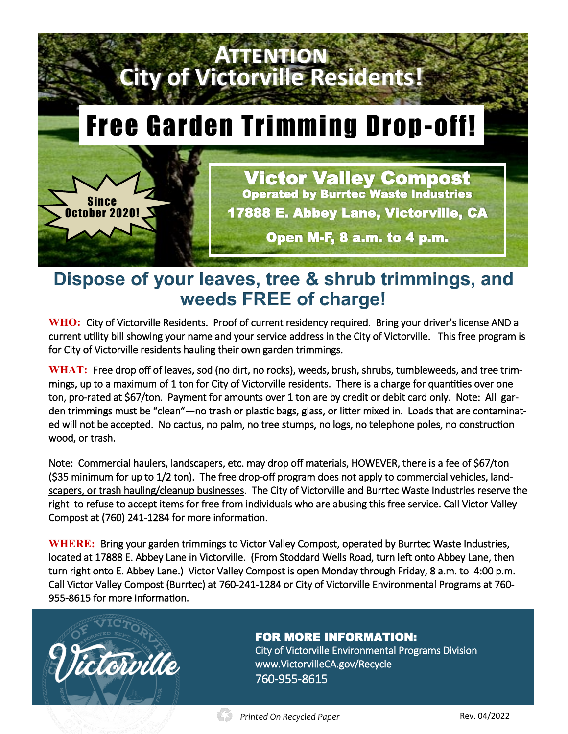

# **Dispose of your leaves, tree & shrub trimmings, and weeds FREE of charge!**

**WHO:** City of Victorville Residents. Proof of current residency required. Bring your driver's license AND a current utility bill showing your name and your service address in the City of Victorville. This free program is for City of Victorville residents hauling their own garden trimmings.

**WHAT:** Free drop off of leaves, sod (no dirt, no rocks), weeds, brush, shrubs, tumbleweeds, and tree trimmings, up to a maximum of 1 ton for City of Victorville residents. There is a charge for quantities over one ton, pro-rated at \$67/ton. Payment for amounts over 1 ton are by credit or debit card only. Note: All garden trimmings must be "clean"—no trash or plastic bags, glass, or litter mixed in. Loads that are contaminated will not be accepted. No cactus, no palm, no tree stumps, no logs, no telephone poles, no construction wood, or trash.

Note: Commercial haulers, landscapers, etc. may drop off materials, HOWEVER, there is a fee of \$67/ton (\$35 minimum for up to 1/2 ton). The free drop-off program does not apply to commercial vehicles, landscapers, or trash hauling/cleanup businesses. The City of Victorville and Burrtec Waste Industries reserve the right to refuse to accept items for free from individuals who are abusing this free service. Call Victor Valley Compost at (760) 241-1284 for more information.

**WHERE:** Bring your garden trimmings to Victor Valley Compost, operated by Burrtec Waste Industries, located at 17888 E. Abbey Lane in Victorville. (From Stoddard Wells Road, turn left onto Abbey Lane, then turn right onto E. Abbey Lane.) Victor Valley Compost is open Monday through Friday, 8 a.m. to 4:00 p.m. Call Victor Valley Compost (Burrtec) at 760-241-1284 or City of Victorville Environmental Programs at 760- 955-8615 for more information.



# FOR MORE INFORMATION:

City of Victorville Environmental Programs Division www.VictorvilleCA.gov/Recycle 760-955-8615